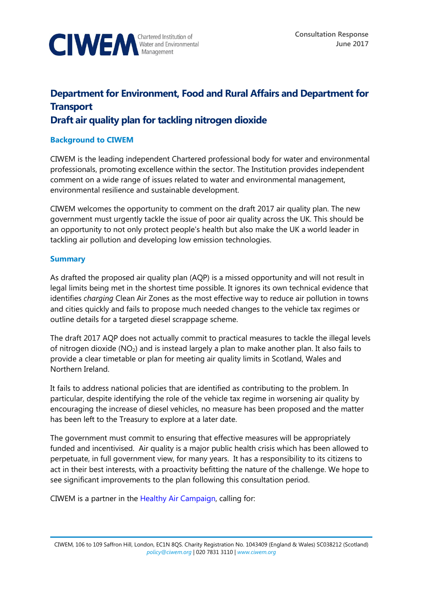

# **Department for Environment, Food and Rural Affairs and Department for Transport**

# **Draft air quality plan for tackling nitrogen dioxide**

# **Background to CIWEM**

CIWEM is the leading independent Chartered professional body for water and environmental professionals, promoting excellence within the sector. The Institution provides independent comment on a wide range of issues related to water and environmental management, environmental resilience and sustainable development.

CIWEM welcomes the opportunity to comment on the draft 2017 air quality plan. The new government must urgently tackle the issue of poor air quality across the UK. This should be an opportunity to not only protect people's health but also make the UK a world leader in tackling air pollution and developing low emission technologies.

# **Summary**

As drafted the proposed air quality plan (AQP) is a missed opportunity and will not result in legal limits being met in the shortest time possible. It ignores its own technical evidence that identifies *charging* Clean Air Zones as the most effective way to reduce air pollution in towns and cities quickly and fails to propose much needed changes to the vehicle tax regimes or outline details for a targeted diesel scrappage scheme.

The draft 2017 AQP does not actually commit to practical measures to tackle the illegal levels of nitrogen dioxide (NO2) and is instead largely a plan to make another plan. It also fails to provide a clear timetable or plan for meeting air quality limits in Scotland, Wales and Northern Ireland.

It fails to address national policies that are identified as contributing to the problem. In particular, despite identifying the role of the vehicle tax regime in worsening air quality by encouraging the increase of diesel vehicles, no measure has been proposed and the matter has been left to the Treasury to explore at a later date.

The government must commit to ensuring that effective measures will be appropriately funded and incentivised. Air quality is a major public health crisis which has been allowed to perpetuate, in full government view, for many years. It has a responsibility to its citizens to act in their best interests, with a proactivity befitting the nature of the challenge. We hope to see significant improvements to the plan following this consultation period.

CIWEM is a partner in the [Healthy Air Campaign,](https://www.healthyair.org.uk/) calling for: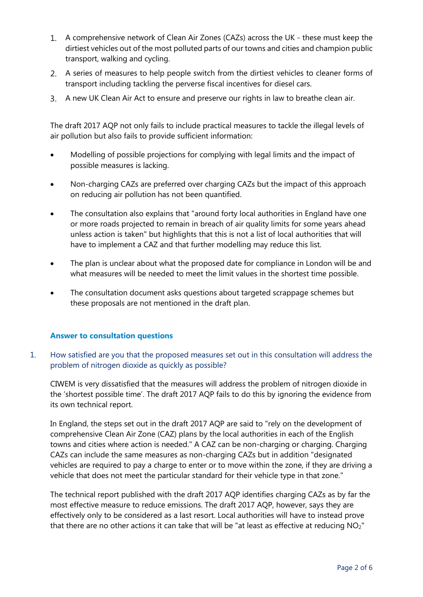- A comprehensive network of Clean Air Zones (CAZs) across the UK these must keep the dirtiest vehicles out of the most polluted parts of our towns and cities and champion public transport, walking and cycling.
- A series of measures to help people switch from the dirtiest vehicles to cleaner forms of transport including tackling the perverse fiscal incentives for diesel cars.
- A new UK Clean Air Act to ensure and preserve our rights in law to breathe clean air.

The draft 2017 AQP not only fails to include practical measures to tackle the illegal levels of air pollution but also fails to provide sufficient information:

- Modelling of possible projections for complying with legal limits and the impact of possible measures is lacking.
- Non-charging CAZs are preferred over charging CAZs but the impact of this approach on reducing air pollution has not been quantified.
- The consultation also explains that "around forty local authorities in England have one or more roads projected to remain in breach of air quality limits for some years ahead unless action is taken" but highlights that this is not a list of local authorities that will have to implement a CAZ and that further modelling may reduce this list.
- The plan is unclear about what the proposed date for compliance in London will be and what measures will be needed to meet the limit values in the shortest time possible.
- The consultation document asks questions about targeted scrappage schemes but these proposals are not mentioned in the draft plan.

#### **Answer to consultation questions**

1. How satisfied are you that the proposed measures set out in this consultation will address the problem of nitrogen dioxide as quickly as possible?

CIWEM is very dissatisfied that the measures will address the problem of nitrogen dioxide in the 'shortest possible time'. The draft 2017 AQP fails to do this by ignoring the evidence from its own technical report.

In England, the steps set out in the draft 2017 AQP are said to "rely on the development of comprehensive Clean Air Zone (CAZ) plans by the local authorities in each of the English towns and cities where action is needed." A CAZ can be non-charging or charging. Charging CAZs can include the same measures as non-charging CAZs but in addition "designated vehicles are required to pay a charge to enter or to move within the zone, if they are driving a vehicle that does not meet the particular standard for their vehicle type in that zone."

The technical report published with the draft 2017 AQP identifies charging CAZs as by far the most effective measure to reduce emissions. The draft 2017 AQP, however, says they are effectively only to be considered as a last resort. Local authorities will have to instead prove that there are no other actions it can take that will be "at least as effective at reducing NO<sub>2</sub>"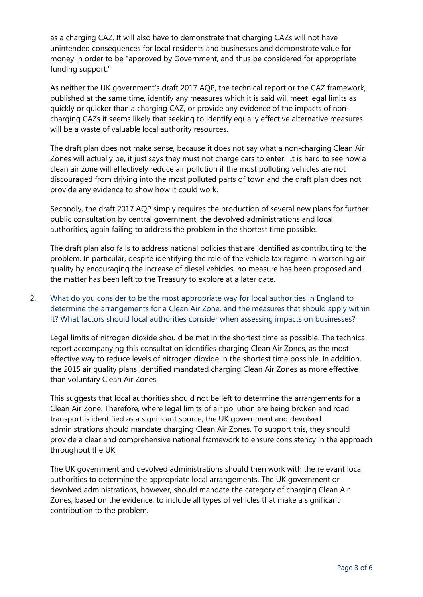as a charging CAZ. It will also have to demonstrate that charging CAZs will not have unintended consequences for local residents and businesses and demonstrate value for money in order to be "approved by Government, and thus be considered for appropriate funding support."

As neither the UK government's draft 2017 AQP, the technical report or the CAZ framework, published at the same time, identify any measures which it is said will meet legal limits as quickly or quicker than a charging CAZ, or provide any evidence of the impacts of noncharging CAZs it seems likely that seeking to identify equally effective alternative measures will be a waste of valuable local authority resources.

The draft plan does not make sense, because it does not say what a non-charging Clean Air Zones will actually be, it just says they must not charge cars to enter. It is hard to see how a clean air zone will effectively reduce air pollution if the most polluting vehicles are not discouraged from driving into the most polluted parts of town and the draft plan does not provide any evidence to show how it could work.

Secondly, the draft 2017 AQP simply requires the production of several new plans for further public consultation by central government, the devolved administrations and local authorities, again failing to address the problem in the shortest time possible.

The draft plan also fails to address national policies that are identified as contributing to the problem. In particular, despite identifying the role of the vehicle tax regime in worsening air quality by encouraging the increase of diesel vehicles, no measure has been proposed and the matter has been left to the Treasury to explore at a later date.

# 2. What do you consider to be the most appropriate way for local authorities in England to determine the arrangements for a Clean Air Zone, and the measures that should apply within it? What factors should local authorities consider when assessing impacts on businesses?

Legal limits of nitrogen dioxide should be met in the shortest time as possible. The technical report accompanying this consultation identifies charging Clean Air Zones, as the most effective way to reduce levels of nitrogen dioxide in the shortest time possible. In addition, the 2015 air quality plans identified mandated charging Clean Air Zones as more effective than voluntary Clean Air Zones.

This suggests that local authorities should not be left to determine the arrangements for a Clean Air Zone. Therefore, where legal limits of air pollution are being broken and road transport is identified as a significant source, the UK government and devolved administrations should mandate charging Clean Air Zones. To support this, they should provide a clear and comprehensive national framework to ensure consistency in the approach throughout the UK.

The UK government and devolved administrations should then work with the relevant local authorities to determine the appropriate local arrangements. The UK government or devolved administrations, however, should mandate the category of charging Clean Air Zones, based on the evidence, to include all types of vehicles that make a significant contribution to the problem.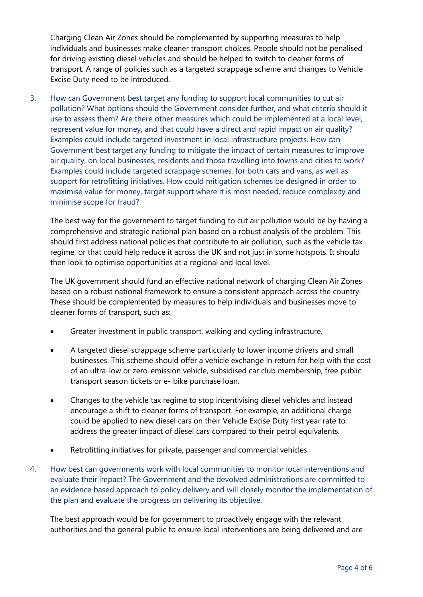Charging Clean Air Zones should be complemented by supporting measures to help individuals and businesses make cleaner transport choices. People should not be penalised for driving existing diesel vehicles and should be helped to switch to cleaner forms of transport. A range of policies such as a targeted scrappage scheme and changes to Vehicle Excise Duty need to be introduced.

3. How can Government best target any funding to support local communities to cut air pollution? What options should the Government consider further, and what criteria should it use to assess them? Are there other measures which could be implemented at a local level, represent value for money, and that could have a direct and rapid impact on air quality? Examples could include targeted investment in local infrastructure projects. How can Government best target any funding to mitigate the impact of certain measures to improve air quality, on local businesses, residents and those travelling into towns and cities to work? Examples could include targeted scrappage schemes, for both cars and vans, as well as support for retrofitting initiatives. How could mitigation schemes be designed in order to maximise value for money, target support where it is most needed, reduce complexity and minimise scope for fraud?

The best way for the government to target funding to cut air pollution would be by having a comprehensive and strategic national plan based on a robust analysis of the problem. This should first address national policies that contribute to air pollution, such as the vehicle tax regime, or that could help reduce it across the UK and not just in some hotspots. It should then look to optimise opportunities at a regional and local level.

The UK government should fund an effective national network of charging Clean Air Zones based on a robust national framework to ensure a consistent approach across the country. These should be complemented by measures to help individuals and businesses move to cleaner forms of transport, such as:

- Greater investment in public transport, walking and cycling infrastructure.
- A targeted diesel scrappage scheme particularly to lower income drivers and small businesses. This scheme should offer a vehicle exchange in return for help with the cost of an ultra-low or zero-emission vehicle, subsidised car club membership, free public transport season tickets or e- bike purchase loan.
- Changes to the vehicle tax regime to stop incentivising diesel vehicles and instead encourage a shift to cleaner forms of transport. For example, an additional charge could be applied to new diesel cars on their Vehicle Excise Duty first year rate to address the greater impact of diesel cars compared to their petrol equivalents.
- Retrofitting initiatives for private, passenger and commercial vehicles
- 4. How best can governments work with local communities to monitor local interventions and evaluate their impact? The Government and the devolved administrations are committed to an evidence based approach to policy delivery and will closely monitor the implementation of the plan and evaluate the progress on delivering its objective.

The best approach would be for government to proactively engage with the relevant authorities and the general public to ensure local interventions are being delivered and are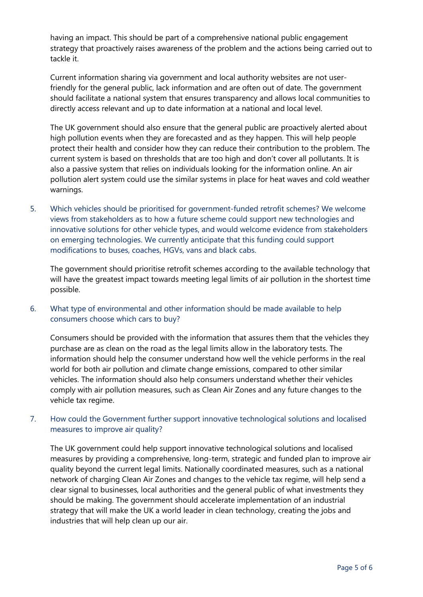having an impact. This should be part of a comprehensive national public engagement strategy that proactively raises awareness of the problem and the actions being carried out to tackle it.

Current information sharing via government and local authority websites are not userfriendly for the general public, lack information and are often out of date. The government should facilitate a national system that ensures transparency and allows local communities to directly access relevant and up to date information at a national and local level.

The UK government should also ensure that the general public are proactively alerted about high pollution events when they are forecasted and as they happen. This will help people protect their health and consider how they can reduce their contribution to the problem. The current system is based on thresholds that are too high and don't cover all pollutants. It is also a passive system that relies on individuals looking for the information online. An air pollution alert system could use the similar systems in place for heat waves and cold weather warnings.

5. Which vehicles should be prioritised for government-funded retrofit schemes? We welcome views from stakeholders as to how a future scheme could support new technologies and innovative solutions for other vehicle types, and would welcome evidence from stakeholders on emerging technologies. We currently anticipate that this funding could support modifications to buses, coaches, HGVs, vans and black cabs.

The government should prioritise retrofit schemes according to the available technology that will have the greatest impact towards meeting legal limits of air pollution in the shortest time possible.

#### 6. What type of environmental and other information should be made available to help consumers choose which cars to buy?

Consumers should be provided with the information that assures them that the vehicles they purchase are as clean on the road as the legal limits allow in the laboratory tests. The information should help the consumer understand how well the vehicle performs in the real world for both air pollution and climate change emissions, compared to other similar vehicles. The information should also help consumers understand whether their vehicles comply with air pollution measures, such as Clean Air Zones and any future changes to the vehicle tax regime.

# 7. How could the Government further support innovative technological solutions and localised measures to improve air quality?

The UK government could help support innovative technological solutions and localised measures by providing a comprehensive, long-term, strategic and funded plan to improve air quality beyond the current legal limits. Nationally coordinated measures, such as a national network of charging Clean Air Zones and changes to the vehicle tax regime, will help send a clear signal to businesses, local authorities and the general public of what investments they should be making. The government should accelerate implementation of an industrial strategy that will make the UK a world leader in clean technology, creating the jobs and industries that will help clean up our air.